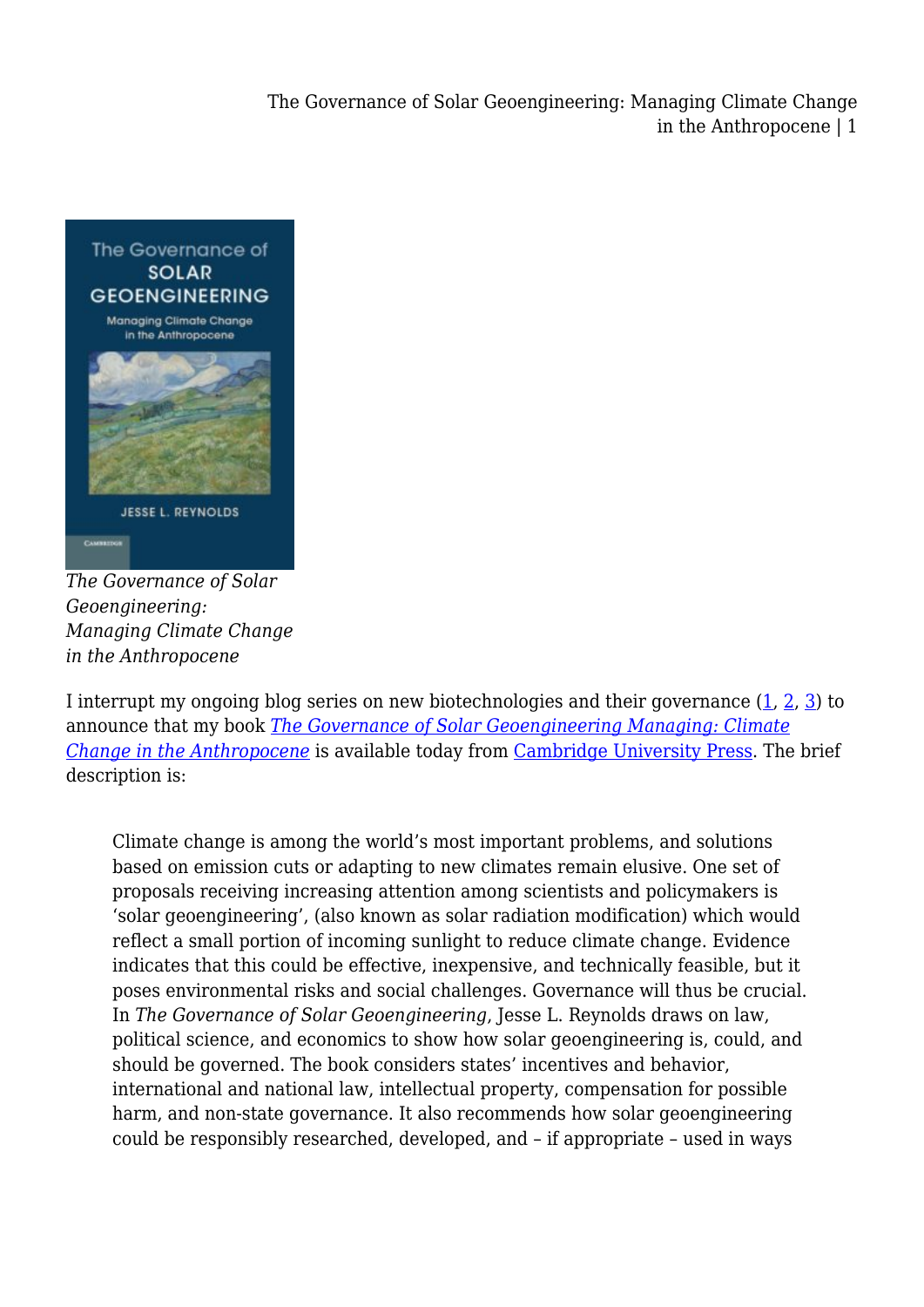The Governance of Solar Geoengineering: Managing Climate Change in the Anthropocene | 1



*The Governance of Solar Geoengineering: Managing Climate Change in the Anthropocene*

I interrupt my ongoing blog series on new biotechnologies and their governance [\(1](https://legal-planet.org/2019/05/10/genetically-modified-organisms-return-to-the-international-policy-agenda/), [2,](https://legal-planet.org/2019/05/15/could-genetically-modified-organisms-help-conserve-biodiversity/) [3\)](https://legal-planet.org/2019/05/21/genetically-modifying-wild-populations/) to announce that my book *[The Governance of Solar Geoengineering Managing: Climate](http://jreynolds.org/book/) [Change in the Anthropocene](http://jreynolds.org/book/)* is available today from [Cambridge University Press](https://www.cambridge.org/nl/academic/subjects/law/environmental-law/governance-solar-geoengineering-managing-climate-change-anthropocene?format=PB). The brief description is:

Climate change is among the world's most important problems, and solutions based on emission cuts or adapting to new climates remain elusive. One set of proposals receiving increasing attention among scientists and policymakers is 'solar geoengineering', (also known as solar radiation modification) which would reflect a small portion of incoming sunlight to reduce climate change. Evidence indicates that this could be effective, inexpensive, and technically feasible, but it poses environmental risks and social challenges. Governance will thus be crucial. In *The Governance of Solar Geoengineering*, Jesse L. Reynolds draws on law, political science, and economics to show how solar geoengineering is, could, and should be governed. The book considers states' incentives and behavior, international and national law, intellectual property, compensation for possible harm, and non-state governance. It also recommends how solar geoengineering could be responsibly researched, developed, and – if appropriate – used in ways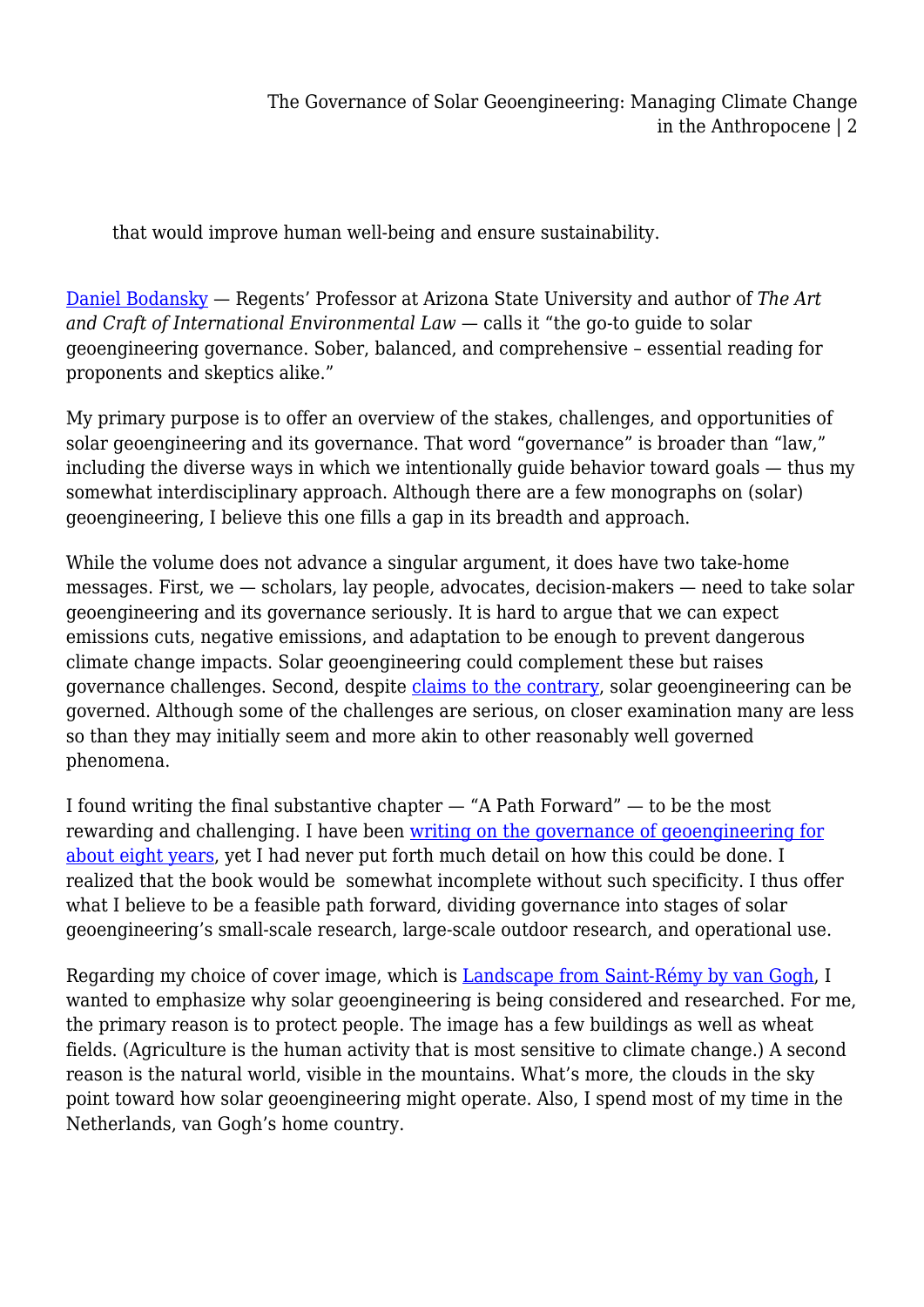that would improve human well-being and ensure sustainability.

[Daniel Bodansky](https://isearch.asu.edu/profile/1527075) — Regents' Professor at Arizona State University and author of *The Art and Craft of International Environmental Law* — calls it "the go-to guide to solar geoengineering governance. Sober, balanced, and comprehensive – essential reading for proponents and skeptics alike."

My primary purpose is to offer an overview of the stakes, challenges, and opportunities of solar geoengineering and its governance. That word "governance" is broader than "law," including the diverse ways in which we intentionally guide behavior toward goals — thus my somewhat interdisciplinary approach. Although there are a few monographs on (solar) geoengineering, I believe this one fills a gap in its breadth and approach.

While the volume does not advance a singular argument, it does have two take-home messages. First, we — scholars, lay people, advocates, decision-makers — need to take solar geoengineering and its governance seriously. It is hard to argue that we can expect emissions cuts, negative emissions, and adaptation to be enough to prevent dangerous climate change impacts. Solar geoengineering could complement these but raises governance challenges. Second, despite [claims to the contrary](http://politybooks.com/bookdetail/?isbn=9780745682051&subject_id=9), solar geoengineering can be governed. Although some of the challenges are serious, on closer examination many are less so than they may initially seem and more akin to other reasonably well governed phenomena.

I found writing the final substantive chapter — "A Path Forward" — to be the most rewarding and challenging. I have been [writing on the governance of geoengineering for](http://jreynolds.org/publications/) [about eight years](http://jreynolds.org/publications/), yet I had never put forth much detail on how this could be done. I realized that the book would be somewhat incomplete without such specificity. I thus offer what I believe to be a feasible path forward, dividing governance into stages of solar geoengineering's small-scale research, large-scale outdoor research, and operational use.

Regarding my choice of cover image, which is [Landscape from Saint-Rémy by van Gogh,](https://artsandculture.google.com/asset/landscape-from-saint-r%C3%A9my/AQGubXY-kY8jSg) I wanted to emphasize why solar geoengineering is being considered and researched. For me, the primary reason is to protect people. The image has a few buildings as well as wheat fields. (Agriculture is the human activity that is most sensitive to climate change.) A second reason is the natural world, visible in the mountains. What's more, the clouds in the sky point toward how solar geoengineering might operate. Also, I spend most of my time in the Netherlands, van Gogh's home country.